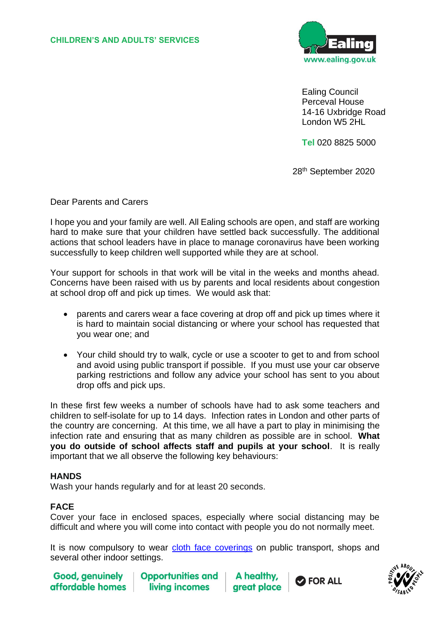

Ealing Council Perceval House 14-16 Uxbridge Road London W5 2HL

**Tel** 020 8825 5000

<u>28 and 28 and 28 and 28 and 28 and 28 and 28 and 28 and 28 and 28 and 28 and 28 and 28 and 28 and 28 and 28 a</u> 28<sup>th</sup> September 2020

Dear Parents and Carers

I hope you and your family are well. All Ealing schools are open, and staff are working hard to make sure that your children have settled back successfully. The additional actions that school leaders have in place to manage coronavirus have been working successfully to keep children well supported while they are at school.

Your support for schools in that work will be vital in the weeks and months ahead. Concerns have been raised with us by parents and local residents about congestion at school drop off and pick up times. We would ask that:

- parents and carers wear a face covering at drop off and pick up times where it is hard to maintain social distancing or where your school has requested that you wear one; and
- Your child should try to walk, cycle or use a scooter to get to and from school and avoid using public transport if possible. If you must use your car observe parking restrictions and follow any advice your school has sent to you about drop offs and pick ups.

In these first few weeks a number of schools have had to ask some teachers and children to self-isolate for up to 14 days. Infection rates in London and other parts of the country are concerning. At this time, we all have a part to play in minimising the infection rate and ensuring that as many children as possible are in school. **What you do outside of school affects staff and pupils at your school**. It is really important that we all observe the following key behaviours:

## **HANDS**

Wash your hands regularly and for at least 20 seconds.

## **FACE**

Cover your face in enclosed spaces, especially where social distancing may be difficult and where you will come into contact with people you do not normally meet.

It is now compulsory to wear [cloth face coverings](https://www.gov.uk/government/publications/face-coverings-when-to-wear-one-and-how-to-make-your-own/face-coverings-when-to-wear-one-and-how-to-make-your-own) on public transport, shops and several other indoor settings.

**Good, genuinely** affordable homes

**Opportunities and** living incomes

A health areat place